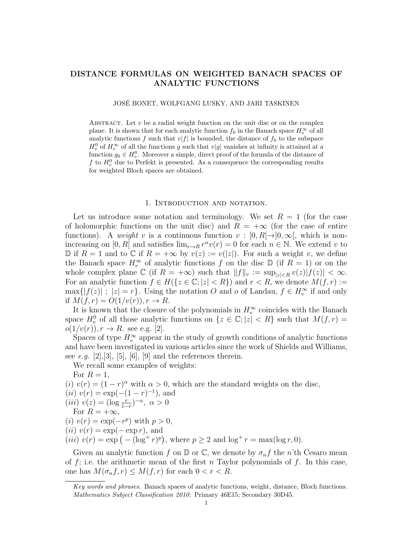# **DISTANCE FORMULAS ON WEIGHTED BANACH SPACES OF ANALYTIC FUNCTIONS**

JOSE BONET, WOLFGANG LUSKY, AND JARI TASKINEN ´

ABSTRACT. Let  $v$  be a radial weight function on the unit disc or on the complex plane. It is shown that for each analytic function  $f_0$  in the Banach space  $H_v^{\infty}$  of all analytic functions *f* such that  $v|f|$  is bounded, the distance of  $f_0$  to the subspace  $H_v^0$  of  $H_v^{\infty}$  of all the functions *g* such that *v*|*g*| vanishes at infinity is attained at a function  $g_0 \in H_v^0$ . Moreover a simple, direct proof of the formula of the distance of *f* to  $H_v^0$  due to Perfekt is presented. As a consequence the corresponding results for weighted Bloch spaces are obtained.

# 1. INTRODUCTION AND NOTATION.

Let us introduce some notation and terminology. We set  $R = 1$  (for the case of holomorphic functions on the unit disc) and  $R = +\infty$  (for the case of entire functions). A *weight v* is a continuous function  $v : [0, R] \rightarrow ]0, \infty[$ , which is nonincreasing on  $[0, R]$  and satisfies  $\lim_{r \to R} r^n v(r) = 0$  for each  $n \in \mathbb{N}$ . We extend *v* to D if *R* = 1 and to ℂ if *R* = +∞ by  $v(z) := v(|z|)$ . For such a weight *v*, we define the Banach space  $H_v^{\infty}$  of analytic functions  $f$  on the disc  $\mathbb{D}$  (if  $R = 1$ ) or on the whole complex plane  $\mathbb{C}$  (if  $R = +\infty$ ) such that  $||f||_v := \sup_{|z| < R} v(z) |f(z)| < \infty$ . For an analytic function  $f \in H({z \in \mathbb{C}}; |z| < R)$  and  $r < R$ , we denote  $M(f, r) :=$  $\max\{|f(z)|; |z| = r\}$ . Using the notation *O* and *o* of Landau,  $f \in H_v^{\infty}$  if and only if  $M(f, r) = O(1/v(r)), r \rightarrow R$ .

It is known that the closure of the polynomials in  $H_v^{\infty}$  coincides with the Banach space  $H_v^0$  of all those analytic functions on  $\{z \in \mathbb{C}; |z| < R\}$  such that  $M(f, r) =$  $o(1/v(r)), r \rightarrow R$ . see e.g. [2].

Spaces of type  $H_v^{\infty}$  appear in the study of growth conditions of analytic functions and have been investigated in various articles since the work of Shields and Williams, see *e.g.* [2], [3], [5], [6], [9] and the references therein.

We recall some examples of weights:

For 
$$
R = 1
$$
,

(*i*)  $v(r) = (1 - r)^{\alpha}$  with  $\alpha > 0$ , which are the standard weights on the disc,

(*ii*) 
$$
v(r) = \exp(-(1 - r)^{-1})
$$
, and

$$
(iii) v(z) = (\log \frac{e}{1-r})^{-\alpha}, \ \alpha > 0
$$

For  $R = +\infty$ ,

 $(i)$   $v(r) = \exp(-r^p)$  with  $p > 0$ ,

 $(iii) v(r) = \exp(-\exp r)$ , and

 $(iii)$   $v(r) = \exp(-(\log^+ r)^p)$ , where  $p \ge 2$  and  $\log^+ r = \max(\log r, 0)$ .

Given an analytic function *f* on  $\mathbb{D}$  or  $\mathbb{C}$ , we denote by  $\sigma_n f$  the *n*'th Cesaro mean of *f*; i.e. the arithmetic mean of the first *n* Taylor polynomials of *f*. In this case, one has  $M(\sigma_n f, r) \leq M(f, r)$  for each  $0 < r < R$ .

*Key words and phrases.* Banach spaces of analytic functions, weight, distance, Bloch functions. *Mathematics Subject Classification 2010:* Primary 46E15; Secondary 30D45.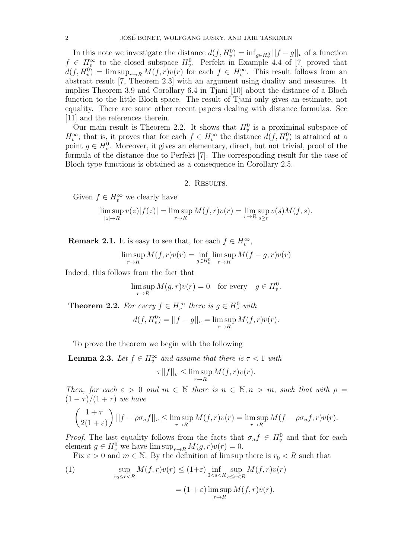In this note we investigate the distance  $d(f, H_v^0) = \inf_{g \in H_v^0} ||f - g||_v$  of a function  $f \in H_v^{\infty}$  to the closed subspace  $H_v^0$ . Perfekt in Example 4.4 of [7] proved that  $d(f, H_v^0) = \limsup_{r \to R} M(f, r)v(r)$  for each  $f \in H_v^\infty$ . This result follows from an abstract result [7, Theorem 2.3] with an argument using duality and measures. It implies Theorem 3.9 and Corollary 6.4 in Tjani [10] about the distance of a Bloch function to the little Bloch space. The result of Tjani only gives an estimate, not equality. There are some other recent papers dealing with distance formulas. See [11] and the references therein.

Our main result is Theorem 2.2. It shows that  $H_v^0$  is a proximinal subspace of  $H_v^{\infty}$ ; that is, it proves that for each  $f \in H_v^{\infty}$  the distance  $d(f, H_v^0)$  is attained at a point  $g \in H_v^0$ . Moreover, it gives an elementary, direct, but not trivial, proof of the formula of the distance due to Perfekt [7]. The corresponding result for the case of Bloch type functions is obtained as a consequence in Corollary 2.5.

### 2. RESULTS.

Given  $f \in H_v^{\infty}$  we clearly have

$$
\limsup_{|z| \to R} v(z)|f(z)| = \limsup_{r \to R} M(f,r)v(r) = \limsup_{r \to R} v(s)M(f,s).
$$

**Remark 2.1.** It is easy to see that, for each  $f \in H_v^{\infty}$ ,

$$
\limsup_{r \to R} M(f, r)v(r) = \inf_{g \in H_v^0} \limsup_{r \to R} M(f - g, r)v(r)
$$

Indeed, this follows from the fact that

$$
\limsup_{r \to R} M(g, r)v(r) = 0 \quad \text{for every} \quad g \in H_v^0.
$$

**Theorem 2.2.** For every  $f \in H_v^{\infty}$  there is  $g \in H_v^0$  with

$$
d(f, H_v^0) = ||f - g||_v = \limsup_{r \to R} M(f, r)v(r).
$$

To prove the theorem we begin with the following

**Lemma 2.3.** *Let*  $f \in H_v^{\infty}$  *and assume that there is*  $\tau < 1$  *with* 

$$
\tau||f||_v \le \limsup_{r \to R} M(f, r)v(r).
$$

*Then, for each*  $\varepsilon > 0$  *and*  $m \in \mathbb{N}$  *there is*  $n \in \mathbb{N}, n > m$ *, such that with*  $\rho =$  $(1 - \tau)/(1 + \tau)$  *we have* 

$$
\left(\frac{1+\tau}{2(1+\varepsilon)}\right)||f-\rho\sigma_nf||_v \leq \limsup_{r\to R} M(f,r)v(r) = \limsup_{r\to R} M(f-\rho\sigma_nf,r)v(r).
$$

*Proof.* The last equality follows from the facts that  $\sigma_n f \in H_v^0$  and that for each element  $g \in H_v^0$  we have  $\limsup_{r \to R} M(g, r)v(r) = 0.$ 

Fix  $\varepsilon > 0$  and  $m \in \mathbb{N}$ . By the definition of lim sup there is  $r_0 < R$  such that

(1) 
$$
\sup_{r_0 \le r < R} M(f, r)v(r) \le (1+\varepsilon) \inf_{0 < s < R} \sup_{s \le r < R} M(f, r)v(r)
$$

$$
= (1+\varepsilon) \limsup_{r \to R} M(f, r)v(r).
$$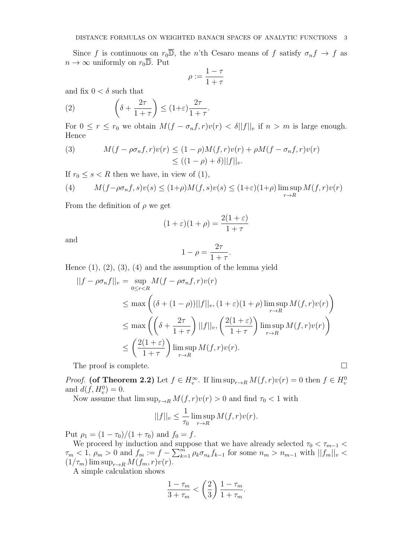Since *f* is continuous on  $r_0\overline{\mathbb{D}}$ , the *n*'th Cesaro means of *f* satisfy  $\sigma_n f \to f$  as  $n \to \infty$  uniformly on  $r_0\overline{\mathbb{D}}$ . Put

$$
\rho:=\frac{1-\tau}{1+\tau}
$$

and fix  $0 < \delta$  such that

(2) 
$$
\left(\delta + \frac{2\tau}{1+\tau}\right) \le (1+\varepsilon)\frac{2\tau}{1+\tau}.
$$

For  $0 \leq r \leq r_0$  we obtain  $M(f - \sigma_n f, r)v(r) < \delta ||f||_v$  if  $n > m$  is large enough. Hence

(3) 
$$
M(f - \rho \sigma_n f, r)v(r) \le (1 - \rho)M(f, r)v(r) + \rho M(f - \sigma_n f, r)v(r)
$$

$$
\le ((1 - \rho) + \delta) ||f||_v.
$$

If  $r_0 \leq s < R$  then we have, in view of (1),

(4) 
$$
M(f - \rho \sigma_n f, s)v(s) \le (1+\rho)M(f, s)v(s) \le (1+\varepsilon)(1+\rho)\limsup_{r \to R} M(f, r)v(r)
$$

From the definition of  $\rho$  we get

$$
(1+\varepsilon)(1+\rho) = \frac{2(1+\varepsilon)}{1+\tau}
$$

and

$$
1 - \rho = \frac{2\tau}{1 + \tau}
$$

*.*

Hence  $(1)$ ,  $(2)$ ,  $(3)$ ,  $(4)$  and the assumption of the lemma yield

$$
||f - \rho \sigma_n f||_v = \sup_{0 \le r < R} M(f - \rho \sigma_n f, r) v(r)
$$
  
\n
$$
\le \max \left( (\delta + (1 - \rho)) ||f||_v, (1 + \varepsilon)(1 + \rho) \limsup_{r \to R} M(f, r) v(r) \right)
$$
  
\n
$$
\le \max \left( \left( \delta + \frac{2\tau}{1 + \tau} \right) ||f||_v, \left( \frac{2(1 + \varepsilon)}{1 + \tau} \right) \limsup_{r \to R} M(f, r) v(r) \right)
$$
  
\n
$$
\le \left( \frac{2(1 + \varepsilon)}{1 + \tau} \right) \limsup_{r \to R} M(f, r) v(r).
$$
  
\nThe proof is complete.

*Proof.* **(of Theorem 2.2)** Let  $f \in H_v^{\infty}$ . If  $\limsup_{r\to R} M(f,r)v(r) = 0$  then  $f \in H_v^0$ and  $d(f, H_v^0) = 0$ .

Now assume that  $\limsup_{r\to R} M(f,r)v(r) > 0$  and find  $\tau_0 < 1$  with

$$
||f||_v \le \frac{1}{\tau_0} \limsup_{r \to R} M(f, r)v(r).
$$

Put  $\rho_1 = (1 - \tau_0)/(1 + \tau_0)$  and  $f_0 = f$ .

We proceed by induction and suppose that we have already selected  $\tau_0 < \tau_{m-1}$  $\tau_m < 1, \rho_m > 0$  and  $f_m := f - \sum_{k=1}^m \rho_k \sigma_{n_k} f_{k-1}$  for some  $n_m > n_{m-1}$  with  $||f_m||_v <$  $(1/\tau_m)$  lim sup<sub> $r\rightarrow R$ </sub>  $M(f_m, r)v(r)$ .

A simple calculation shows

$$
\frac{1-\tau_m}{3+\tau_m} < \left(\frac{2}{3}\right) \frac{1-\tau_m}{1+\tau_m}.
$$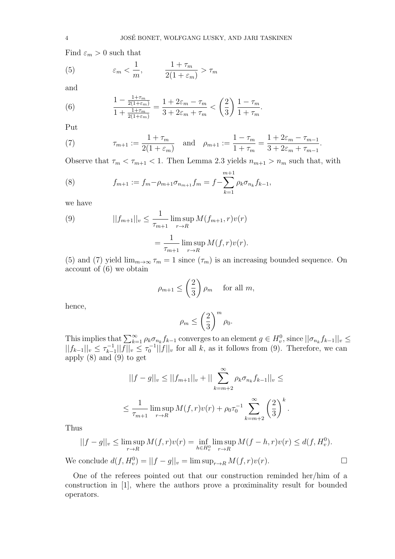Find  $\varepsilon_m > 0$  such that

(5) 
$$
\varepsilon_m < \frac{1}{m}
$$
,  $\frac{1 + \tau_m}{2(1 + \varepsilon_m)} > \tau_m$ 

and

(6) 
$$
\frac{1 - \frac{1 + \tau_m}{2(1 + \varepsilon_m)}}{1 + \frac{1 + \tau_m}{2(1 + \varepsilon_m)}} = \frac{1 + 2\varepsilon_m - \tau_m}{3 + 2\varepsilon_m + \tau_m} < \left(\frac{2}{3}\right) \frac{1 - \tau_m}{1 + \tau_m}.
$$

Put

(7) 
$$
\tau_{m+1} := \frac{1 + \tau_m}{2(1 + \varepsilon_m)} \quad \text{and} \quad \rho_{m+1} := \frac{1 - \tau_m}{1 + \tau_m} = \frac{1 + 2\varepsilon_m - \tau_{m-1}}{3 + 2\varepsilon_m + \tau_{m-1}}.
$$

Observe that  $\tau_m < \tau_{m+1} < 1$ . Then Lemma 2.3 yields  $n_{m+1} > n_m$  such that, with

(8) 
$$
f_{m+1} := f_m - \rho_{m+1} \sigma_{n_{m+1}} f_m = f - \sum_{k=1}^{m+1} \rho_k \sigma_{n_k} f_{k-1},
$$

we have

(9) 
$$
||f_{m+1}||_v \le \frac{1}{\tau_{m+1}} \limsup_{r \to R} M(f_{m+1}, r)v(r) = \frac{1}{\tau_{m+1}} \limsup_{r \to R} M(f, r)v(r).
$$

(5) and (7) yield  $\lim_{m\to\infty} \tau_m = 1$  since  $(\tau_m)$  is an increasing bounded sequence. On account of (6) we obtain

$$
\rho_{m+1} \le \left(\frac{2}{3}\right)\rho_m \quad \text{ for all } m,
$$

hence,

$$
\rho_m \le \left(\frac{2}{3}\right)^m \rho_0.
$$

This implies that  $\sum_{k=1}^{\infty} \rho_k \sigma_{n_k} f_{k-1}$  converges to an element  $g \in H_v^0$ , since  $||\sigma_{n_k} f_{k-1}||_v \le$  $||f_{k-1}||_v$  ≤  $\tau_{k-1}^{-1}$  $\frac{(-1)^{n-1}}{k-1}$ || $f||_v \leq \tau_0^{-1}$ || $f||_v$  for all *k*, as it follows from (9). Therefore, we can apply (8) and (9) to get

$$
||f - g||_{v} \le ||f_{m+1}||_{v} + || \sum_{k=m+2}^{\infty} \rho_k \sigma_{n_k} f_{k-1}||_{v} \le
$$
  

$$
\le \frac{1}{\tau_{m+1}} \limsup_{r \to R} M(f, r) v(r) + \rho_0 \tau_0^{-1} \sum_{k=m+2}^{\infty} \left(\frac{2}{3}\right)^{k}.
$$

Thus

$$
||f - g||_v \le \limsup_{r \to R} M(f, r)v(r) = \inf_{h \in H_v^0} \limsup_{r \to R} M(f - h, r)v(r) \le d(f, H_v^0).
$$

We conclude  $d(f, H_v^0) = ||f - g||_v = \limsup_{r \to R} M(f, r)v(r)$ . □

One of the referees pointed out that our construction reminded her/him of a construction in [1], where the authors prove a proximinality result for bounded operators.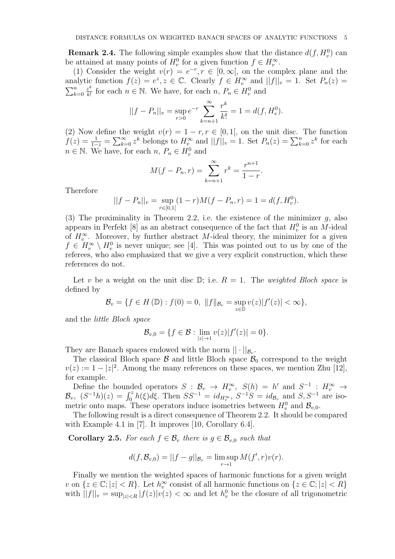**Remark 2.4.** The following simple examples show that the distance  $d(f, H_v^0)$  can be attained at many points of  $H_v^0$  for a given function  $f \in H_v^{\infty}$ .

(1) Consider the weight  $v(r) = e^{-r}, r \in [0, \infty)$ , on the complex plane and the analytic function  $f(z) = e^z, z \in \mathbb{C}$ . Clearly  $f \in H_v^{\infty}$  and  $||f||_v = 1$ . Set  $P_n(z) =$  $\sum_{k=0}^{n}$ *z k*  $\frac{z^k}{k!}$  for each  $n \in \mathbb{N}$ . We have, for each  $n, P_n \in H_v^0$  and

$$
||f - P_n||_v = \sup_{r>0} e^{-r} \sum_{k=n+1}^{\infty} \frac{r^k}{k!} = 1 = d(f, H_v^0).
$$

(2) Now define the weight  $v(r) = 1 - r, r \in [0, 1]$ , on the unit disc. The function  $f(z) = \frac{1}{1-z} = \sum_{k=0}^{\infty} z^k$  belongs to  $H_v^{\infty}$  and  $||f||_v = 1$ . Set  $P_n(z) = \sum_{k=0}^n z^k$  for each  $n \in \mathbb{N}$ . We have, for each  $n, P_n \in H_v^0$  and

$$
M(f - P_n, r) = \sum_{k=n+1}^{\infty} r^k = \frac{r^{n+1}}{1 - r}.
$$

Therefore

$$
||f - P_n||_v = \sup_{r \in [0,1[} (1-r)M(f - P_n, r) = 1 = d(f, H_v^0).
$$

(3) The proximinality in Theorem 2.2, i.e. the existence of the minimizer *g*, also appears in Perfekt [8] as an abstract consequence of the fact that  $H_v^0$  is an *M*-ideal of  $H_v^{\infty}$ . Moreover, by further abstract *M*-ideal theory, the minimizer for a given  $f \in H_v^{\infty} \setminus H_v^0$  is never unique; see [4]. This was pointed out to us by one of the referees, who also emphasized that we give a very explicit construction, which these references do not.

Let *v* be a weight on the unit disc  $\mathbb{D}$ ; i.e.  $R = 1$ . The *weighted Bloch space* is defined by

$$
\mathcal{B}_v = \{ f \in H(\mathbb{D}) : f(0) = 0, \ \|f\|_{\mathcal{B}_v} = \sup_{z \in \mathbb{D}} v(z) |f'(z)| < \infty \},\
$$

and the *little Bloch space*

$$
\mathcal{B}_{v,0} = \{ f \in \mathcal{B} : \lim_{|z| \to 1} v(z) |f'(z)| = 0 \}.
$$

They are Banach spaces endowed with the norm  $|| \cdot ||_{\mathcal{B}_v}$ .

The classical Bloch space  $\beta$  and little Bloch space  $\beta_0$  correspond to the weight  $v(z) := 1 - |z|^2$ . Among the many references on these spaces, we mention Zhu [12], for example.

Define the bounded operators  $S : \mathcal{B}_v \to H_v^{\infty}$ ,  $S(h) = h'$  and  $S^{-1} : H_v^{\infty} \to$  $\mathcal{B}_v$ ,  $(S^{-1}h)(z) = \int_0^z h(\xi) d\xi$ . Then  $SS^{-1} = id_{H_v^{\infty}}$ ,  $S^{-1}S = id_{\mathcal{B}_v}$  and  $S, S^{-1}$  are isometric onto maps. These operators induce isometries between  $H_v^0$  and  $\mathcal{B}_{v,0}$ .

The following result is a direct consequence of Theorem 2.2. It should be compared with Example 4.1 in [7]. It improves [10, Corollary 6.4].

**Corollary 2.5.** For each  $f \in \mathcal{B}_v$  there is  $g \in \mathcal{B}_{v,0}$  such that

$$
d(f, \mathcal{B}_{v,0}) = ||f - g||_{\mathcal{B}_v} = \limsup_{r \to 1} M(f', r)v(r).
$$

Finally we mention the weighted spaces of harmonic functions for a given weight v on  $\{z \in \mathbb{C}; |z| < R\}$ . Let  $h_v^{\infty}$  consist of all harmonic functions on  $\{z \in \mathbb{C}; |z| < R\}$ with  $||f||_v = \sup_{|z| < R} |f(z)| v(z) < \infty$  and let  $h_v^0$  be the closure of all trigonometric